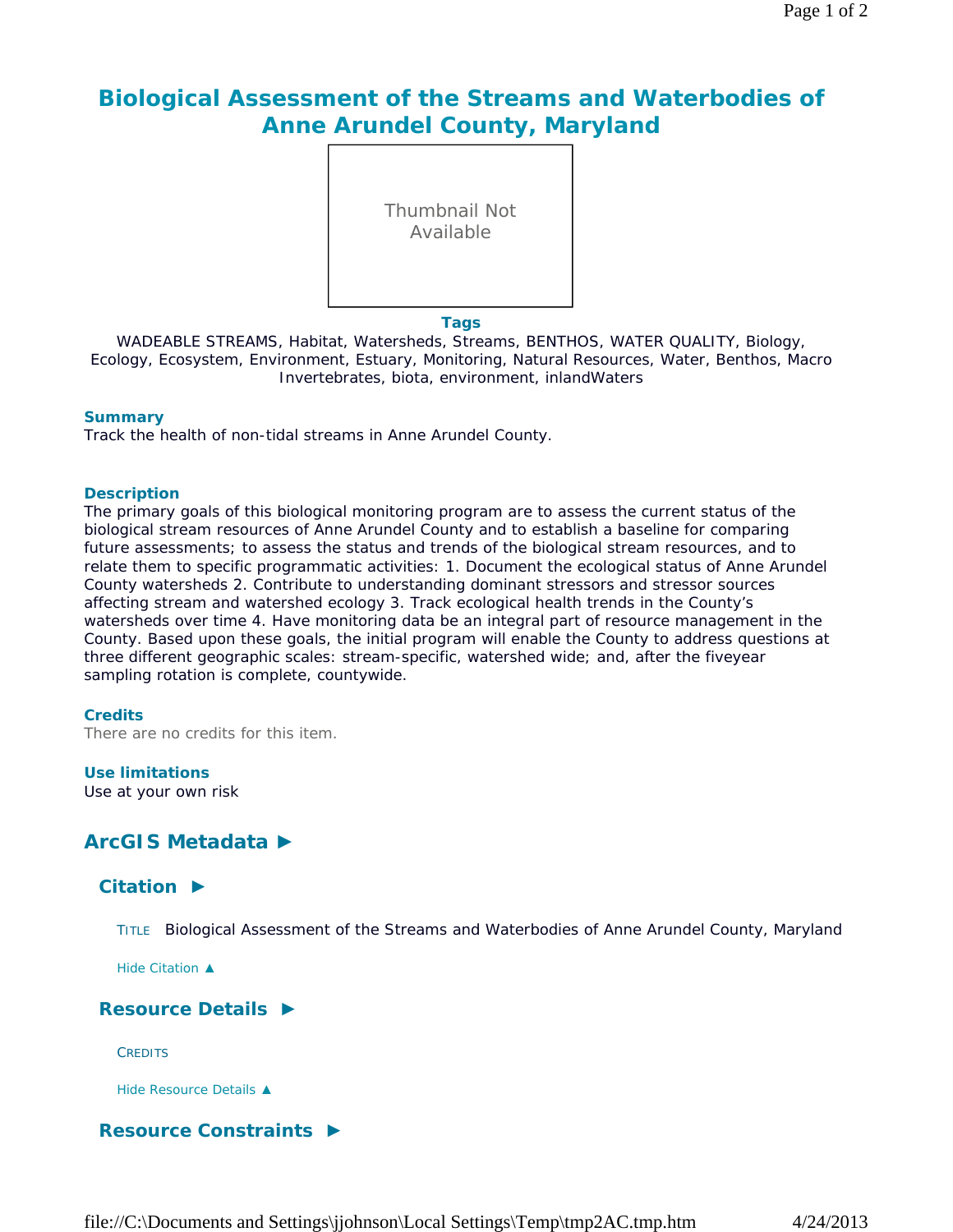# **Biological Assessment of the Streams and Waterbodies of Anne Arundel County, Maryland**

Thumbnail Not Available

**Tags**

WADEABLE STREAMS, Habitat, Watersheds, Streams, BENTHOS, WATER QUALITY, Biology, Ecology, Ecosystem, Environment, Estuary, Monitoring, Natural Resources, Water, Benthos, Macro Invertebrates, biota, environment, inlandWaters

#### **Summary**

Track the health of non-tidal streams in Anne Arundel County.

#### **Description**

The primary goals of this biological monitoring program are to assess the current status of the biological stream resources of Anne Arundel County and to establish a baseline for comparing future assessments; to assess the status and trends of the biological stream resources, and to relate them to specific programmatic activities: 1. Document the ecological status of Anne Arundel County watersheds 2. Contribute to understanding dominant stressors and stressor sources affecting stream and watershed ecology 3. Track ecological health trends in the County's watersheds over time 4. Have monitoring data be an integral part of resource management in the County. Based upon these goals, the initial program will enable the County to address questions at three different geographic scales: stream-specific, watershed wide; and, after the fiveyear sampling rotation is complete, countywide.

#### **Credits**

There are no credits for this item.

#### **Use limitations**

Use at your own risk

## **ArcGIS Metadata ►**

## **Citation ►**

TITLE Biological Assessment of the Streams and Waterbodies of Anne Arundel County, Maryland

*Hide Citation ▲*

## **Resource Details ►**

**CREDITS** 

*Hide Resource Details ▲*

## **Resource Constraints ►**